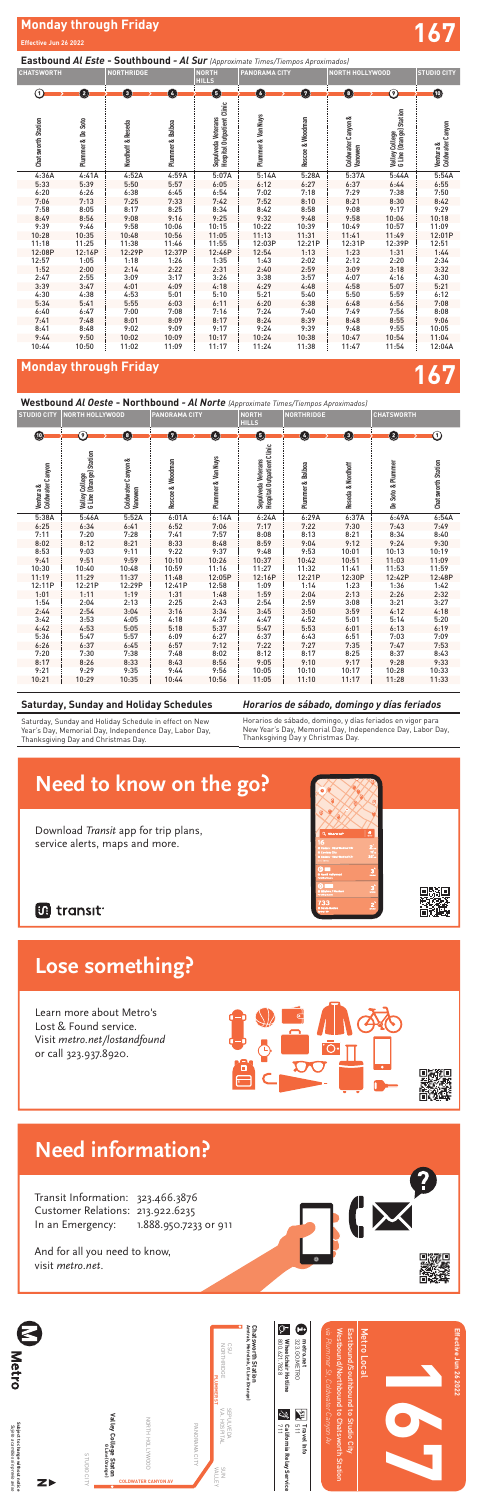# **Monday through Friday 167**

### **Eastbound** *Al Este* **- Southbound** *- Al Sur (Approximate Times/Tiempos Aproximados)*

**Westbound** *Al Oeste* **- Northbound** *- Al Norte (Approximate Times/Tiempos Aproximados)*

| <b>CHATSWORTH</b><br><b>NORTHRIDGE</b> |                   | <b>NORTH</b><br><b>HILLS</b> | <b>PANORAMA CITY</b> |                                                         | <b>NORTH HOLLYWOOD</b> |                  | <b>STUDIO CITY</b>            |                                           |                               |
|----------------------------------------|-------------------|------------------------------|----------------------|---------------------------------------------------------|------------------------|------------------|-------------------------------|-------------------------------------------|-------------------------------|
| $\left( 1\right)$                      | Ø                 | 0                            | G                    | G                                                       | G                      | Ø                | 8                             | の                                         | $\bf \bm \omega$              |
| <b>Chatsworth Station</b>              | Plummer & De Soto | Nordhoff & Reseda            | Plummer & Balboa     | <b>Hospital Outpatient Clinic</b><br>Sepulveda Veterans | Plummer & Van Nuys     | Roscoe & Woodman | Coldwater Canyon &<br>Vanowen | Valley College<br>G Line (Orange) Station | Coldwater Canyon<br>Ventura & |
| 4:36A                                  | 4:41A             | 4:52A                        | 4:59A                | 5:07A                                                   | 5:14A                  | 5:28A            | 5:37A                         | 5:44A                                     | 5:54A                         |
| 5:33                                   | 5:39              | 5:50                         | 5:57                 | 6:05                                                    | 6:12                   | 6:27             | 6:37                          | 6:44                                      | 6:55                          |
| 6:20                                   | 6:26              | 6:38                         | 6:45                 | 6:54                                                    | 7:02                   | 7:18             | 7:29                          | 7:38                                      | 7:50                          |
| 7:06                                   | 7:13              | 7:25                         | 7:33                 | 7:42                                                    | 7:52                   | 8:10             | 8:21                          | 8:30                                      | 8:42                          |
| 7:58                                   | 8:05              | 8:17                         | 8:25                 | 8:34                                                    | 8:42                   | 8:58             | 9:08                          | 9:17                                      | 9:29                          |
| 8:49                                   | 8:56              | 9:08                         | 9:16                 | 9:25                                                    | 9:32                   | 9:48             | 9:58                          | 10:06                                     | 10:18                         |
| 9:39                                   | 9:46              | 9:58                         | 10:06                | 10:15                                                   | 10:22                  | 10:39            | 10:49                         | 10:57                                     | 11:09                         |
| 10:28                                  | 10:35             | 10:48                        | 10:56                | 11:05                                                   | 11:13                  | 11:31            | 11:41                         | 11:49                                     | 12:01P                        |
| 11:18                                  | 11:25             | 11:38                        | 11:46                | 11:55                                                   | 12:03P                 | 12:21P           | 12:31P                        | 12:39P                                    | 12:51                         |
| 12:08P                                 | 12:16P            | 12:29P                       | 12:37P               | 12:46P                                                  | 12:54                  | 1:13             | 1:23                          | 1:31                                      | 1:44                          |
| 12:57                                  | 1:05              | 1:18                         | 1:26                 | 1:35                                                    | 1:43                   | 2:02             | 2:12                          | 2:20                                      | 2:34                          |
| 1:52                                   | 2:00              | 2:14                         | 2:22                 | 2:31                                                    | 2:40                   | 2:59             | 3:09                          | 3:18                                      | 3:32                          |
| 2:47                                   | 2:55              | 3:09                         | 3:17                 | 3:26                                                    | 3:38                   | 3:57             | 4:07                          | 4:16                                      | 4:30                          |
| 3:39                                   | 3:47              | 4:01                         | 4:09                 | 4:18                                                    | 4:29                   | 4:48             | 4:58                          | 5:07                                      | 5:21                          |
| 4:30                                   | 4:38              | 4:53                         | 5:01                 | 5:10                                                    | 5:21                   | 5:40             | 5:50                          | 5:59                                      | 6:12                          |
| 5:34                                   | 5:41              | 5:55                         | 6:03                 | 6:11                                                    | 6:20                   | 6:38             | 6:48                          | 6:56                                      | 7:08                          |
| 6:40                                   | 6:47              | 7:00                         | 7:08                 | 7:16                                                    | 7:24                   | 7:40             | 7:49                          | 7:56                                      | 8:08                          |
| 7:41                                   | 7:48              | 8:01                         | 8:09                 | 8:17                                                    | 8:24                   | 8:39             | 8:48                          | 8:55                                      | 9:06                          |
| 8:41                                   | 8:48              | 9:02                         | 9:09                 | 9:17                                                    | 9:24                   | 9:39             | 9:48                          | 9:55                                      | 10:05                         |
| 9:44                                   | 9:50              | 10:02                        | 10:09                | 10:17                                                   | 10:24                  | 10:38            | 10:47                         | 10:54                                     | 11:04                         |
| 10:44                                  | 10:50             | 11:02                        | 11:09                | 11:17                                                   | 11:24                  | 11:38            | 11:47                         | 11:54                                     | 12:04A                        |

service alerts, maps and more. Transit Information: 323.466.3876 Customer Relations: 213.922.6235 In an Emergency: 1.888.950.7233 or 911

# **Need to know the go? Lose something?**

Learn more about Metro's<br>. Lost & Found service.<br>Lost & Found service. Visit metro.net/lostandfound or call 323.937.8920.

| <b>STUDIO CITY</b>            | <b>NORTH HOLLYWOOD</b>                    |                               | <b>PANORAMA CITY</b> |                    | <b>NORTH</b><br><b>HILLS</b>                            | <b>NORTHRIDGE</b> |                   | <b>CHATSWORTH</b> |                           |
|-------------------------------|-------------------------------------------|-------------------------------|----------------------|--------------------|---------------------------------------------------------|-------------------|-------------------|-------------------|---------------------------|
| $\bf \bm \omega$              | ၐ                                         | $\bullet$                     | $\sqrt{7}$           | G                  | G                                                       | $\overline{4}$    | O                 | $\mathbf{2}$      | ന                         |
| Coldwater Canyon<br>Ventura & | Valley College<br>G Line (Orange) Station | Coldwater Canyon &<br>Vanowen | Roscoe & Woodman     | Plummer & Van Nuys | <b>Hospital Outpatient Clinic</b><br>Sepulveda Veterans | Plummer & Balboa  | Reseda & Nordhoff | De Soto & Plummer | <b>Chatsworth Station</b> |
| 5:38A                         | 5:46A                                     | 5:52A                         | 6:01A                | 6:14A              | 6:24A                                                   | 6:29A             | 6:37A             | 6:49A             | 6:54A                     |
| 6:25                          | 6:34                                      | 6:41                          | 6:52                 | 7:06               | 7:17                                                    | 7:22              | 7:30              | 7:43              | 7:49                      |
| 7:11                          | 7:20                                      | 7:28                          | 7:41                 | 7:57               | 8:08                                                    | 8:13              | 8:21              | 8:34              | 8:40                      |
| 8:02                          | 8:12                                      | 8:21                          | 8:33                 | 8:48               | 8:59                                                    | 9:04              | 9:12              | 9:24              | 9:30                      |
| 8:53                          | 9:03                                      | 9:11                          | 9:22                 | 9:37               | 9:48                                                    | 9:53              | 10:01             | 10:13             | 10:19                     |
| 9:41                          | 9:51                                      | 9:59                          | 10:10                | 10:26              | 10:37                                                   | 10:42             | 10:51             | 11:03             | 11:09                     |
| 10:30                         | 10:40                                     | 10:48                         | 10:59                | 11:16              | 11:27                                                   | 11:32             | 11:41             | 11:53             | 11:59                     |
| 11:19                         | 11:29                                     | 11:37                         | 11:48                | 12:05P             | 12:16P                                                  | 12:21P            | 12:30P            | 12:42P            | 12:48P                    |
| 12:11P                        | 12:21P                                    | 12:29P                        | 12:41P               | 12:58              | 1:09                                                    | 1:14              | 1:23              | 1:36              | 1:42                      |
| 1:01                          | 1:11                                      | 1:19                          | 1:31                 | 1:48               | 1:59                                                    | 2:04              | 2:13              | 2:26              | 2:32                      |
| 1:54                          | 2:04                                      | 2:13                          | 2:25                 | 2:43               | 2:54                                                    | 2:59              | 3:08              | 3:21              | 3:27                      |
| 2:44                          | 2:54                                      | 3:04                          | 3:16                 | 3:34               | 3:45                                                    | 3:50              | 3:59              | 4:12              | 4:18                      |
| 3:42                          | 3:53                                      | 4:05                          | 4:18                 | 4:37               | 4:47                                                    | 4:52              | 5:01              | 5:14              | 5:20                      |
| 4:42                          | 4:53                                      | 5:05                          | 5:18                 | 5:37               | 5:47                                                    | 5:53              | 6:01              | 6:13              | 6:19                      |
| 5:36                          | 5:47                                      | 5:57                          | 6:09                 | 6:27               | 6:37                                                    | 6:43              | 6:51              | 7:03              | 7:09                      |
| 6:26                          | 6:37                                      | 6:45                          | 6:57                 | 7:12               | 7:22                                                    | 7:27              | 7:35              | 7:47              | 7:53                      |
| 7:20                          | 7:30                                      | 7:38                          | 7:48                 | 8:02               | 8:12                                                    | 8:17              | 8:25              | 8:37              | 8:43                      |
| 8:17                          | 8:26                                      | 8:33                          | 8:43                 | 8:56               | 9:05                                                    | 9:10              | 9:17              | 9:28              | 9:33                      |
| 9:21                          | 9:29                                      | 9:35                          | 9:44                 | 9:56               | 10:05                                                   | 10:10             | 10:17             | 10:28             | 10:33                     |
| 10:21                         | 10:29                                     | 10:35                         | 10:44                | 10:56              | 11:05                                                   | 11:10             | 11:17             | 11:28             | 11:33                     |

## *Horarios de sábado, domingo y días feriados*

Horarios de sábado, domingo, y días feriados en vigor para New Year's Day, Memorial Day, Independence Day, Labor Day, Thanksgiving Day y Christmas Day*.*

## **Saturday, Sunday and Holiday Schedules**

Saturday, Sunday and Holiday Schedule in effect on New Year's Day, Memorial Day, Independence Day, Labor Day, Thanksgiving Day and Christmas Day.



## **B** transit





minutes

Pershing Square Wilshire / Western Station minutes

North Hollywood

Spring / 6th Santa Monica minutes **733 <sup>2</sup>**

Cedars - Sinai Medical Ctr

# **Need to know on the go?**

Download Transit app for trip plans, service alerts, maps and more.

**Need to know** 



And for all you need to know, visit metro.net.

|                            | Subject to change without notice<br>Sujeto a cambios sin previo aviso | E<br>Metro                                                                        |
|----------------------------|-----------------------------------------------------------------------|-----------------------------------------------------------------------------------|
|                            |                                                                       |                                                                                   |
| STUDIO CITY                |                                                                       |                                                                                   |
| $\bullet$                  | Valley College Staton<br>Valley College Staton                        |                                                                                   |
| <b>COLDWATER CANYON AV</b> | NORTH HOLLYWOOD                                                       |                                                                                   |
|                            | PANORAMA CITY                                                         |                                                                                   |
| NNS<br>WLLEY               | SEPULVEDA<br>V.A. HOSPITAL                                            | CSU<br>NORTHRIDGE<br><b>PLUMMER ST</b>                                            |
|                            |                                                                       | Chatsworth Station<br>Amtrak, Metrolink, G Line (Orange)                          |
|                            | $\mathbb{Q}$<br>California Relay Service<br>711                       | È<br>800.621.7828<br><b>Wheelchair Hotline</b>                                    |
|                            | PA<br>Pa<br>511<br><b>Travel Info</b>                                 | Œ<br>metro.net<br>323.60.METRO                                                    |
|                            |                                                                       | via Plummer St, Coldwater Canyon Av                                               |
|                            |                                                                       | Eastbound/Southbound to Studio City<br>Westbound/Northbound to Chatsworth Station |
|                            |                                                                       | Metro Local                                                                       |
|                            |                                                                       |                                                                                   |
|                            |                                                                       |                                                                                   |
|                            |                                                                       | Effective Jun 26 2022                                                             |